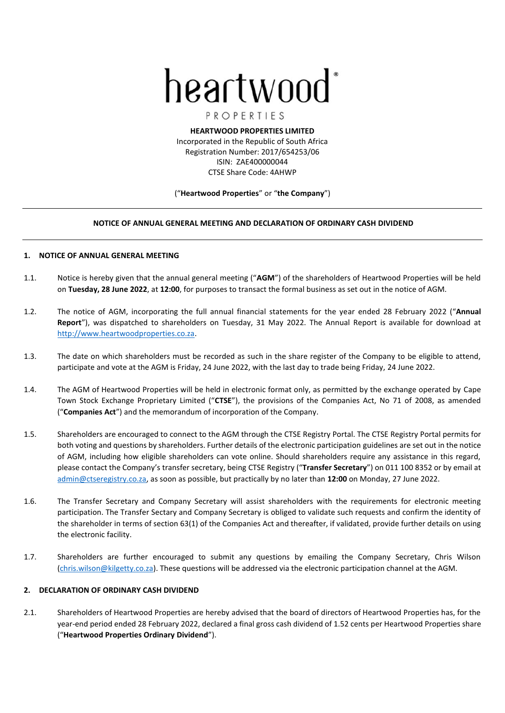# heartwood

PROPERTIES **HEARTWOOD PROPERTIES LIMITED**

Incorporated in the Republic of South Africa Registration Number: 2017/654253/06 ISIN: ZAE400000044 CTSE Share Code: 4AHWP

### ("**Heartwood Properties**" or "**the Company**")

## **NOTICE OF ANNUAL GENERAL MEETING AND DECLARATION OF ORDINARY CASH DIVIDEND**

### **1. NOTICE OF ANNUAL GENERAL MEETING**

- 1.1. Notice is hereby given that the annual general meeting ("**AGM**") of the shareholders of Heartwood Properties will be held on **Tuesday, 28 June 2022**, at **12:00**, for purposes to transact the formal business as set out in the notice of AGM.
- 1.2. The notice of AGM, incorporating the full annual financial statements for the year ended 28 February 2022 ("**Annual Report**"), was dispatched to shareholders on Tuesday, 31 May 2022. The Annual Report is available for download at http://www.heartwoodproperties.co.za.
- 1.3. The date on which shareholders must be recorded as such in the share register of the Company to be eligible to attend, participate and vote at the AGM is Friday, 24 June 2022, with the last day to trade being Friday, 24 June 2022.
- 1.4. The AGM of Heartwood Properties will be held in electronic format only, as permitted by the exchange operated by Cape Town Stock Exchange Proprietary Limited ("**CTSE**"), the provisions of the Companies Act, No 71 of 2008, as amended ("**Companies Act**") and the memorandum of incorporation of the Company.
- 1.5. Shareholders are encouraged to connect to the AGM through the CTSE Registry Portal. The CTSE Registry Portal permits for both voting and questions by shareholders. Further details of the electronic participation guidelines are set out in the notice of AGM, including how eligible shareholders can vote online. Should shareholders require any assistance in this regard, please contact the Company's transfer secretary, being CTSE Registry ("**Transfer Secretary**") on 011 100 8352 or by email at admin@ctseregistry.co.za, as soon as possible, but practically by no later than **12:00** on Monday, 27 June 2022.
- 1.6. The Transfer Secretary and Company Secretary will assist shareholders with the requirements for electronic meeting participation. The Transfer Sectary and Company Secretary is obliged to validate such requests and confirm the identity of the shareholder in terms of section 63(1) of the Companies Act and thereafter, if validated, provide further details on using the electronic facility.
- 1.7. Shareholders are further encouraged to submit any questions by emailing the Company Secretary, Chris Wilson (chris.wilson@kilgetty.co.za). These questions will be addressed via the electronic participation channel at the AGM.

# **2. DECLARATION OF ORDINARY CASH DIVIDEND**

2.1. Shareholders of Heartwood Properties are hereby advised that the board of directors of Heartwood Properties has, for the year-end period ended 28 February 2022, declared a final gross cash dividend of 1.52 cents per Heartwood Properties share ("**Heartwood Properties Ordinary Dividend**").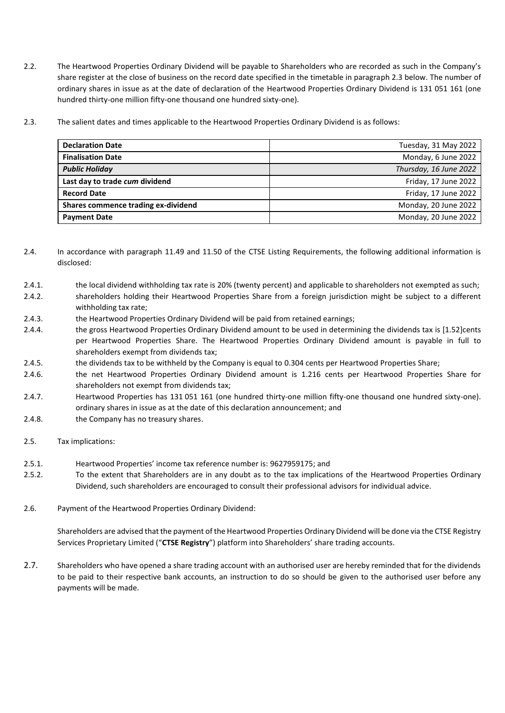- 2.2. The Heartwood Properties Ordinary Dividend will be payable to Shareholders who are recorded as such in the Company's share register at the close of business on the record date specified in the timetable in paragraph [2.3](#page-1-0) below. The number of ordinary shares in issue as at the date of declaration of the Heartwood Properties Ordinary Dividend is 131 051 161 (one hundred thirty-one million fifty-one thousand one hundred sixty-one).
- <span id="page-1-0"></span>2.3. The salient dates and times applicable to the Heartwood Properties Ordinary Dividend is as follows:

| <b>Declaration Date</b>             | Tuesday, 31 May 2022   |
|-------------------------------------|------------------------|
| <b>Finalisation Date</b>            | Monday, 6 June 2022    |
| <b>Public Holiday</b>               | Thursday, 16 June 2022 |
| Last day to trade cum dividend      | Friday, 17 June 2022   |
| <b>Record Date</b>                  | Friday, 17 June 2022   |
| Shares commence trading ex-dividend | Monday, 20 June 2022   |
| <b>Payment Date</b>                 | Monday, 20 June 2022   |

- 2.4. In accordance with paragraph 11.49 and 11.50 of the CTSE Listing Requirements, the following additional information is disclosed:
- 2.4.1. the local dividend withholding tax rate is 20% (twenty percent) and applicable to shareholders not exempted as such;
- 2.4.2. shareholders holding their Heartwood Properties Share from a foreign jurisdiction might be subject to a different withholding tax rate;
- 2.4.3. the Heartwood Properties Ordinary Dividend will be paid from retained earnings;
- 2.4.4. the gross Heartwood Properties Ordinary Dividend amount to be used in determining the dividends tax is [1.52]cents per Heartwood Properties Share. The Heartwood Properties Ordinary Dividend amount is payable in full to shareholders exempt from dividends tax;
- 2.4.5. the dividends tax to be withheld by the Company is equal to 0.304 cents per Heartwood Properties Share;
- 2.4.6. the net Heartwood Properties Ordinary Dividend amount is 1.216 cents per Heartwood Properties Share for shareholders not exempt from dividends tax;
- 2.4.7. Heartwood Properties has 131 051 161 (one hundred thirty-one million fifty-one thousand one hundred sixty-one). ordinary shares in issue as at the date of this declaration announcement; and
- 2.4.8. the Company has no treasury shares.
- 2.5. Tax implications:
- 2.5.1. Heartwood Properties' income tax reference number is: 9627959175; and
- 2.5.2. To the extent that Shareholders are in any doubt as to the tax implications of the Heartwood Properties Ordinary Dividend, such shareholders are encouraged to consult their professional advisors for individual advice.
- 2.6. Payment of the Heartwood Properties Ordinary Dividend:

Shareholders are advised that the payment of the Heartwood Properties Ordinary Dividend will be done via the CTSE Registry Services Proprietary Limited ("**CTSE Registry**") platform into Shareholders' share trading accounts.

2.7. Shareholders who have opened a share trading account with an authorised user are hereby reminded that for the dividends to be paid to their respective bank accounts, an instruction to do so should be given to the authorised user before any payments will be made.